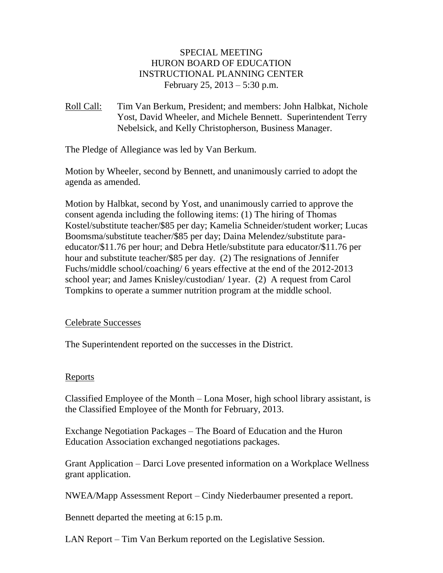# SPECIAL MEETING HURON BOARD OF EDUCATION INSTRUCTIONAL PLANNING CENTER February 25, 2013 – 5:30 p.m.

Roll Call: Tim Van Berkum, President; and members: John Halbkat, Nichole Yost, David Wheeler, and Michele Bennett. Superintendent Terry Nebelsick, and Kelly Christopherson, Business Manager.

The Pledge of Allegiance was led by Van Berkum.

Motion by Wheeler, second by Bennett, and unanimously carried to adopt the agenda as amended.

Motion by Halbkat, second by Yost, and unanimously carried to approve the consent agenda including the following items: (1) The hiring of Thomas Kostel/substitute teacher/\$85 per day; Kamelia Schneider/student worker; Lucas Boomsma/substitute teacher/\$85 per day; Daina Melendez/substitute paraeducator/\$11.76 per hour; and Debra Hetle/substitute para educator/\$11.76 per hour and substitute teacher/\$85 per day. (2) The resignations of Jennifer Fuchs/middle school/coaching/ 6 years effective at the end of the 2012-2013 school year; and James Knisley/custodian/ 1year. (2) A request from Carol Tompkins to operate a summer nutrition program at the middle school.

### Celebrate Successes

The Superintendent reported on the successes in the District.

### Reports

Classified Employee of the Month – Lona Moser, high school library assistant, is the Classified Employee of the Month for February, 2013.

Exchange Negotiation Packages – The Board of Education and the Huron Education Association exchanged negotiations packages.

Grant Application – Darci Love presented information on a Workplace Wellness grant application.

NWEA/Mapp Assessment Report – Cindy Niederbaumer presented a report.

Bennett departed the meeting at 6:15 p.m.

LAN Report – Tim Van Berkum reported on the Legislative Session.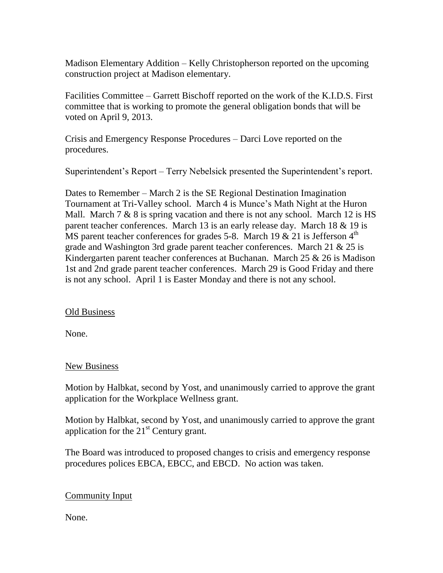Madison Elementary Addition – Kelly Christopherson reported on the upcoming construction project at Madison elementary.

Facilities Committee – Garrett Bischoff reported on the work of the K.I.D.S. First committee that is working to promote the general obligation bonds that will be voted on April 9, 2013.

Crisis and Emergency Response Procedures – Darci Love reported on the procedures.

Superintendent's Report – Terry Nebelsick presented the Superintendent's report.

Dates to Remember – March 2 is the SE Regional Destination Imagination Tournament at Tri-Valley school. March 4 is Munce's Math Night at the Huron Mall. March  $7 & 8$  is spring vacation and there is not any school. March 12 is HS parent teacher conferences. March 13 is an early release day. March 18 & 19 is MS parent teacher conferences for grades 5-8. March 19  $\&$  21 is Jefferson 4<sup>th</sup> grade and Washington 3rd grade parent teacher conferences. March 21 & 25 is Kindergarten parent teacher conferences at Buchanan. March 25 & 26 is Madison 1st and 2nd grade parent teacher conferences. March 29 is Good Friday and there is not any school. April 1 is Easter Monday and there is not any school.

# Old Business

None.

# New Business

Motion by Halbkat, second by Yost, and unanimously carried to approve the grant application for the Workplace Wellness grant.

Motion by Halbkat, second by Yost, and unanimously carried to approve the grant application for the  $21<sup>st</sup>$  Century grant.

The Board was introduced to proposed changes to crisis and emergency response procedures polices EBCA, EBCC, and EBCD. No action was taken.

# Community Input

None.